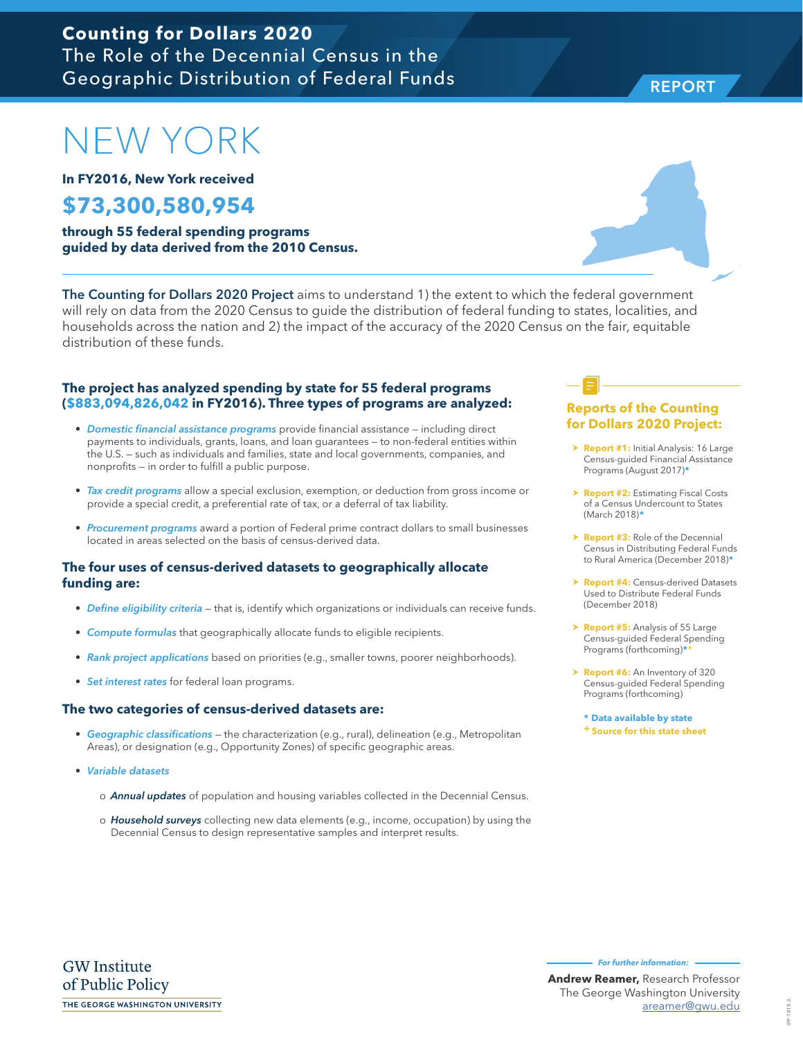# NEW YORK

**In FY2016, New York received**

### **\$73,300,580,954**

**through 55 federal spending programs guided by data derived from the 2010 Census.**

The Counting for Dollars 2020 Project aims to understand 1) the extent to which the federal government will rely on data from the 2020 Census to guide the distribution of federal funding to states, localities, and households across the nation and 2) the impact of the accuracy of the 2020 Census on the fair, equitable distribution of these funds.

#### **The project has analyzed spending by state for 55 federal programs (\$883,094,826,042 in FY2016). Three types of programs are analyzed:**

- *Domestic financial assistance programs* provide financial assistance including direct payments to individuals, grants, loans, and loan guarantees — to non-federal entities within the U.S. — such as individuals and families, state and local governments, companies, and nonprofits — in order to fulfill a public purpose.
- *Tax credit programs* allow a special exclusion, exemption, or deduction from gross income or provide a special credit, a preferential rate of tax, or a deferral of tax liability.
- *Procurement programs* award a portion of Federal prime contract dollars to small businesses located in areas selected on the basis of census-derived data.

#### **The four uses of census-derived datasets to geographically allocate funding are:**

- *Define eligibility criteria* that is, identify which organizations or individuals can receive funds.
- *Compute formulas* that geographically allocate funds to eligible recipients.
- *Rank project applications* based on priorities (e.g., smaller towns, poorer neighborhoods).
- *Set interest rates* for federal loan programs.

#### **The two categories of census-derived datasets are:**

- *Geographic classifications* the characterization (e.g., rural), delineation (e.g., Metropolitan Areas), or designation (e.g., Opportunity Zones) of specific geographic areas.
- *Variable datasets* 
	- o *Annual updates* of population and housing variables collected in the Decennial Census.
	- o *Household surveys* collecting new data elements (e.g., income, occupation) by using the Decennial Census to design representative samples and interpret results.

#### **Reports of the Counting for Dollars 2020 Project:**

- **> Report #1:** Initial Analysis: 16 Large Census-guided Financial Assistance Programs (August 2017)**\***
- **h Report #2: Estimating Fiscal Costs** of a Census Undercount to States (March 2018)**\***
- **Report #3:** Role of the Decennial Census in Distributing Federal Funds to Rural America (December 2018)**\***
- **Report #4: Census-derived Datasets** Used to Distribute Federal Funds (December 2018)
- > **Report #5:** Analysis of 55 Large Census-guided Federal Spending Programs (forthcoming)**\*+**
- > **Report #6:** An Inventory of 320 Census-guided Federal Spending Programs (forthcoming)

**\* Data available by state + Source for this state sheet**

**GW** Institute of Public Policy THE GEORGE WASHINGTON UNIVERSITY **For further information:** 

IPP-1819-3 IPP-1819-3